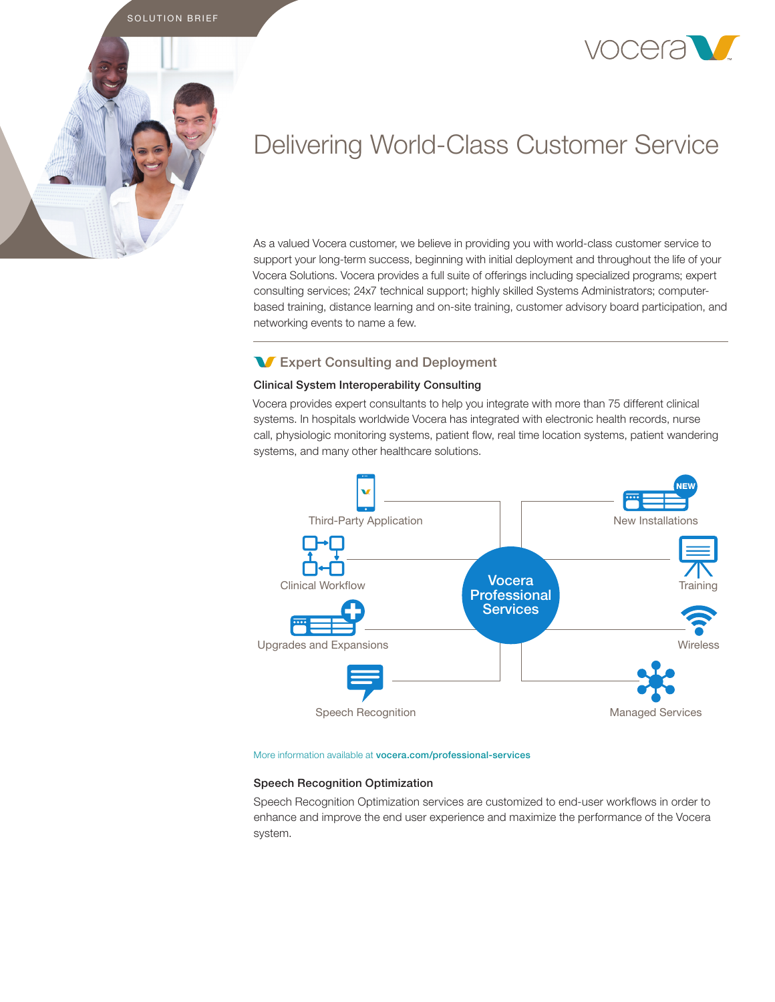



# Delivering World-Class Customer Service

As a valued Vocera customer, we believe in providing you with world-class customer service to support your long-term success, beginning with initial deployment and throughout the life of your Vocera Solutions. Vocera provides a full suite of offerings including specialized programs; expert consulting services; 24x7 technical support; highly skilled Systems Administrators; computerbased training, distance learning and on-site training, customer advisory board participation, and networking events to name a few.

# **W** Expert Consulting and Deployment

## Clinical System Interoperability Consulting

Vocera provides expert consultants to help you integrate with more than 75 different clinical systems. In hospitals worldwide Vocera has integrated with electronic health records, nurse call, physiologic monitoring systems, patient flow, real time location systems, patient wandering systems, and many other healthcare solutions.



#### More information available at vocera.com/professional-services

## Speech Recognition Optimization

Speech Recognition Optimization services are customized to end-user workflows in order to enhance and improve the end user experience and maximize the performance of the Vocera system.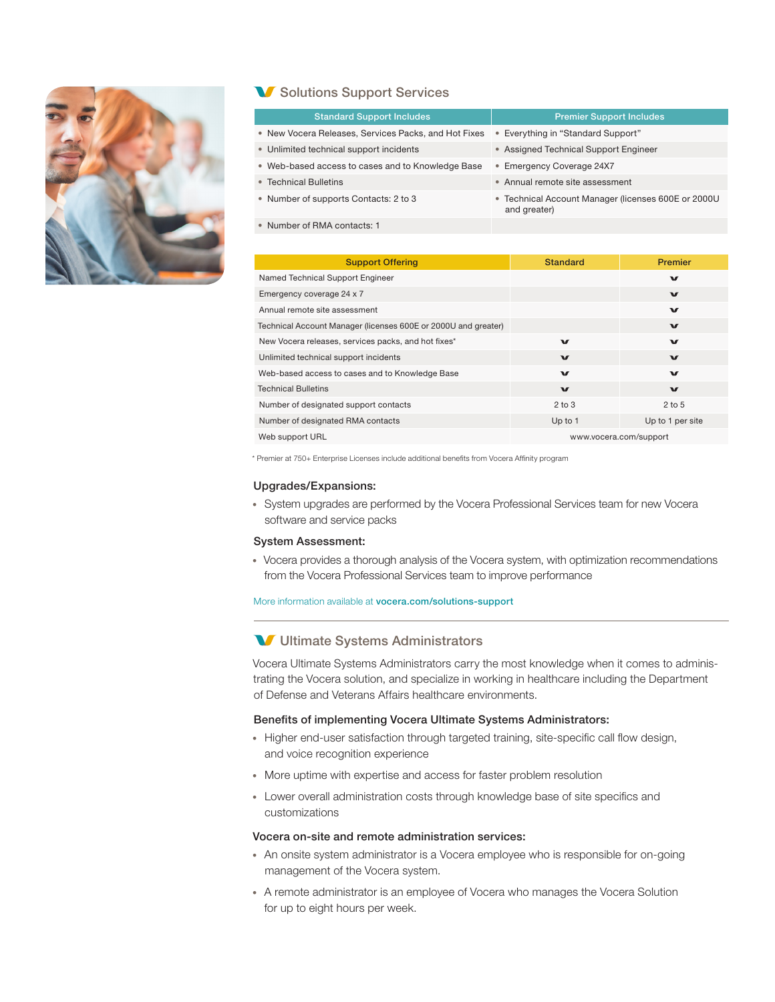

# **V** Solutions Support Services

| <b>Standard Support Includes</b>                     | <b>Premier Support Includes</b>                                     |
|------------------------------------------------------|---------------------------------------------------------------------|
|                                                      |                                                                     |
| • New Vocera Releases, Services Packs, and Hot Fixes | • Everything in "Standard Support"                                  |
| • Unlimited technical support incidents              | • Assigned Technical Support Engineer                               |
| • Web-based access to cases and to Knowledge Base    | • Emergency Coverage 24X7                                           |
| • Technical Bulletins                                | • Annual remote site assessment                                     |
| • Number of supports Contacts: 2 to 3                | • Technical Account Manager (licenses 600E or 2000U<br>and greater) |
| • Number of RMA contacts: 1                          |                                                                     |

| <b>Support Offering</b>                                        | <b>Standard</b>        | <b>Premier</b>   |
|----------------------------------------------------------------|------------------------|------------------|
| Named Technical Support Engineer                               |                        | $\mathbf{v}$     |
| Emergency coverage 24 x 7                                      |                        | $\mathbf{v}$     |
| Annual remote site assessment                                  |                        | $\mathbf{v}$     |
| Technical Account Manager (licenses 600E or 2000U and greater) |                        | $\mathbf{v}$     |
| New Vocera releases, services packs, and hot fixes*            | $\mathbf{v}$           | $\mathbf{v}$     |
| Unlimited technical support incidents                          | $\mathbf{v}$           | $\mathbf{v}$     |
| Web-based access to cases and to Knowledge Base                | $\mathbf{v}$           | $\mathbf{v}$     |
| <b>Technical Bulletins</b>                                     | $\mathbf{v}$           | $\mathbf{v}$     |
| Number of designated support contacts                          | $2$ to $3$             | $2$ to 5         |
| Number of designated RMA contacts                              | Up to 1                | Up to 1 per site |
| Web support URL                                                | www.vocera.com/support |                  |

\* Premier at 750+ Enterprise Licenses include additional benefits from Vocera Affinity program

### Upgrades/Expansions:

• System upgrades are performed by the Vocera Professional Services team for new Vocera software and service packs

#### System Assessment:

• Vocera provides a thorough analysis of the Vocera system, with optimization recommendations from the Vocera Professional Services team to improve performance

More information available at vocera.com/solutions-support

## **V** Ultimate Systems Administrators

Vocera Ultimate Systems Administrators carry the most knowledge when it comes to administrating the Vocera solution, and specialize in working in healthcare including the Department of Defense and Veterans Affairs healthcare environments.

#### Benefits of implementing Vocera Ultimate Systems Administrators:

- Higher end-user satisfaction through targeted training, site-specific call flow design, and voice recognition experience
- More uptime with expertise and access for faster problem resolution
- Lower overall administration costs through knowledge base of site specifics and customizations

## Vocera on-site and remote administration services:

- An onsite system administrator is a Vocera employee who is responsible for on-going management of the Vocera system.
- A remote administrator is an employee of Vocera who manages the Vocera Solution for up to eight hours per week.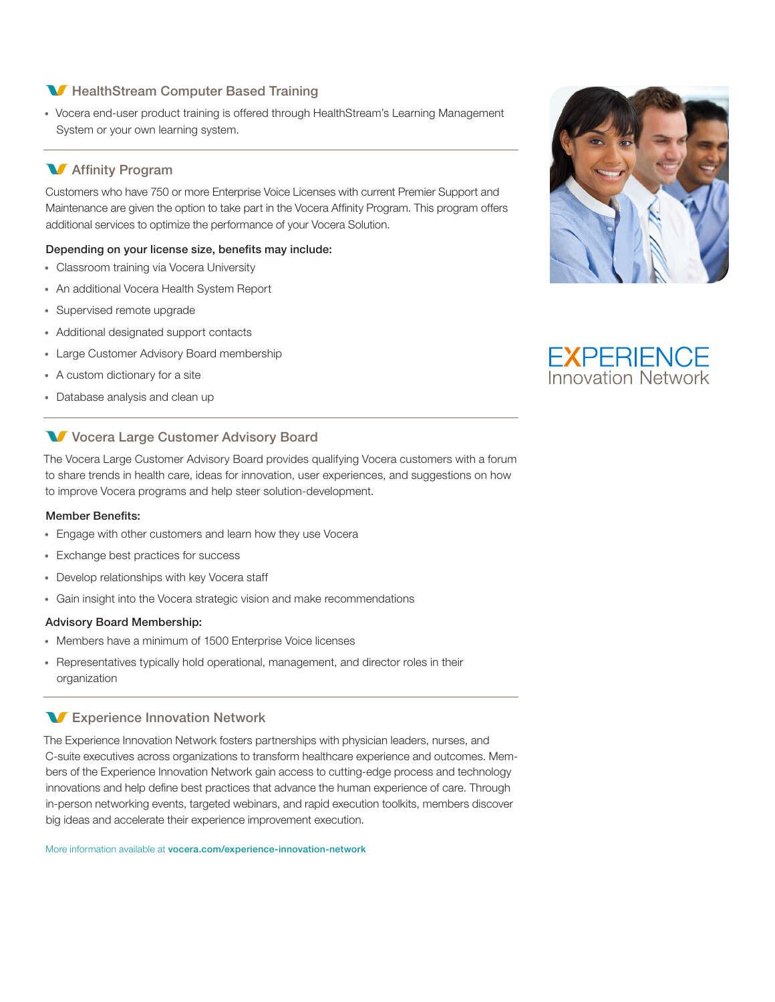# **M** HealthStream Computer Based Training

• Vocera end-user product training is offered through HealthStream's Learning Management System or your own learning system.

# **M** Affinity Program

Customers who have 750 or more Enterprise Voice Licenses with current Premier Support and Maintenance are given the option to take part in the Vocera Affinity Program. This program offers additional services to optimize the performance of your Vocera Solution.

## Depending on your license size, benefits may include:

- Classroom training via Vocera University
- An additional Vocera Health System Report
- Supervised remote upgrade
- Additional designated support contacts
- Large Customer Advisory Board membership
- A custom dictionary for a site
- Database analysis and clean up

# **V** Vocera Large Customer Advisory Board

The Vocera Large Customer Advisory Board provides qualifying Vocera customers with a forum to share trends in health care, ideas for innovation, user experiences, and suggestions on how to improve Vocera programs and help steer solution-development.

## Member Benefits:

- Engage with other customers and learn how they use Vocera
- Exchange best practices for success
- Develop relationships with key Vocera staff
- Gain insight into the Vocera strategic vision and make recommendations

## Advisory Board Membership:

- Members have a minimum of 1500 Enterprise Voice licenses
- Representatives typically hold operational, management, and director roles in their organization

## **W** Experience Innovation Network

The Experience Innovation Network fosters partnerships with physician leaders, nurses, and C-suite executives across organizations to transform healthcare experience and outcomes. Members of the Experience Innovation Network gain access to cutting-edge process and technology innovations and help define best practices that advance the human experience of care. Through in-person networking events, targeted webinars, and rapid execution toolkits, members discover big ideas and accelerate their experience improvement execution.

More information available at vocera.com/experience-innovation-network